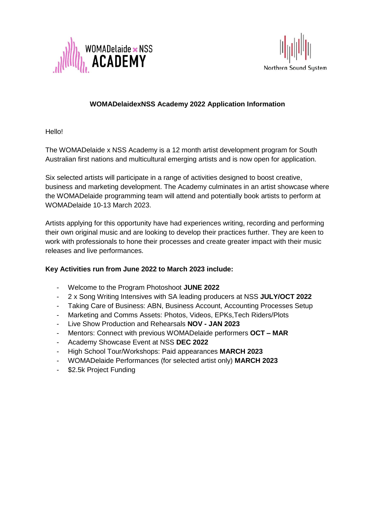



## **WOMADelaidexNSS Academy 2022 Application Information**

Hello!

The WOMADelaide x NSS Academy is a 12 month artist development program for South Australian first nations and multicultural emerging artists and is now open for application.

Six selected artists will participate in a range of activities designed to boost creative, business and marketing development. The Academy culminates in an artist showcase where the WOMADelaide programming team will attend and potentially book artists to perform at WOMADelaide 10-13 March 2023.

Artists applying for this opportunity have had experiences writing, recording and performing their own original music and are looking to develop their practices further. They are keen to work with professionals to hone their processes and create greater impact with their music releases and live performances.

## **Key Activities run from June 2022 to March 2023 include:**

- Welcome to the Program Photoshoot **JUNE 2022**
- 2 x Song Writing Intensives with SA leading producers at NSS **JULY/OCT 2022**
- Taking Care of Business: ABN, Business Account, Accounting Processes Setup
- Marketing and Comms Assets: Photos, Videos, EPKs, Tech Riders/Plots
- Live Show Production and Rehearsals **NOV - JAN 2023**
- Mentors: Connect with previous WOMADelaide performers **OCT – MAR**
- Academy Showcase Event at NSS **DEC 2022**
- High School Tour/Workshops: Paid appearances **MARCH 2023**
- WOMADelaide Performances (for selected artist only) **MARCH 2023**
- \$2.5k Project Funding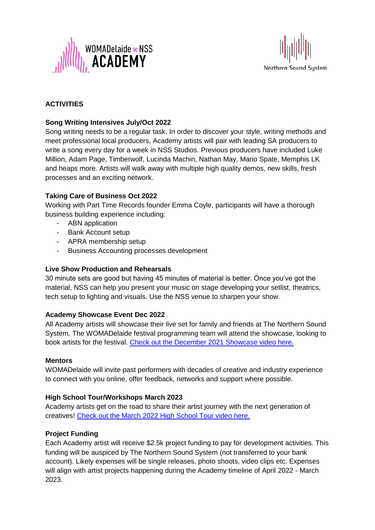



# **ACTIVITIES**

## **Song Writing Intensives July/Oct 2022**

Song writing needs to be a regular task. In order to discover your style, writing methods and meet professional local producers, Academy artists will pair with leading SA producers to write a song every day for a week in NSS Studios. Previous producers have included Luke Million, Adam Page, Timberwolf, Lucinda Machin, Nathan May, Mario Spate, Memphis LK and heaps more. Artists will walk away with multiple high quality demos, new skills, fresh processes and an exciting network.

## **Taking Care of Business Oct 2022**

Working with Part Time Records founder Emma Coyle, participants will have a thorough business building experience including:

- ABN application
- Bank Account setup
- APRA membership setup
- Business Accounting processes development

#### **Live Show Production and Rehearsals**

30 minute sets are good but having 45 minutes of material is better. Once you've got the material, NSS can help you present your music on stage developing your setlist, theatrics, tech setup to lighting and visuals. Use the NSS venue to sharpen your show.

#### **Academy Showcase Event Dec 2022**

All Academy artists will showcase their live set for family and friends at The Northern Sound System. The WOMADelaide festival programming team will attend the showcase, looking to book artists for the festival. [Check out the December 2021 Showcase video here.](https://www.dropbox.com/s/puvxsqcvqqm07wd/Womad%20x%20NSS%20Academy.mp4?dl=0)

#### **Mentors**

WOMADelaide will invite past performers with decades of creative and industry experience to connect with you online, offer feedback, networks and support where possible.

#### **High School Tour/Workshops March 2023**

Academy artists get on the road to share their artist journey with the next generation of creatives! [Check out the March 2022 High School Tour video here.](https://www.dropbox.com/s/ieog99ayyjyus3u/WOMADelaidexNSS%20Academy%20High%20School%20Tour%20March%202022%20long.mp4?dl=0)

#### **Project Funding**

Each Academy artist will receive \$2.5k project funding to pay for development activities. This funding will be auspiced by The Northern Sound System (not transferred to your bank account). Likely expenses will be single releases, photo shoots, video clips etc. Expenses will align with artist projects happening during the Academy timeline of April 2022 - March 2023.